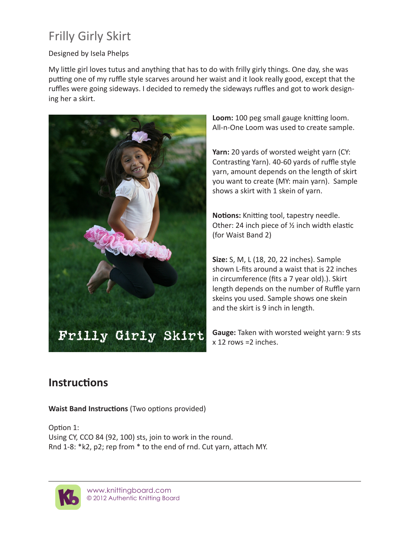## Frilly Girly Skirt

## Designed by Isela Phelps

My little girl loves tutus and anything that has to do with frilly girly things. One day, she was putting one of my ruffle style scarves around her waist and it look really good, except that the ruffles were going sideways. I decided to remedy the sideways ruffles and got to work designing her a skirt.



**Loom:** 100 peg small gauge knitting loom. All-n-One Loom was used to create sample.

**Yarn:** 20 yards of worsted weight yarn (CY: Contrasting Yarn). 40-60 yards of ruffle style yarn, amount depends on the length of skirt you want to create (MY: main yarn). Sample shows a skirt with 1 skein of yarn.

**Notions:** Knitting tool, tapestry needle. Other: 24 inch piece of ½ inch width elastic (for Waist Band 2)

**Size:** S, M, L (18, 20, 22 inches). Sample shown L-fits around a waist that is 22 inches in circumference (fits a 7 year old).). Skirt length depends on the number of Ruffle yarn skeins you used. Sample shows one skein and the skirt is 9 inch in length.

**Gauge:** Taken with worsted weight yarn: 9 sts x 12 rows =2 inches.

## **Instructions**

**Waist Band Instructions** (Two options provided)

Option 1: Using CY, CCO 84 (92, 100) sts, join to work in the round. Rnd 1-8: \*k2, p2; rep from \* to the end of rnd. Cut yarn, attach MY.